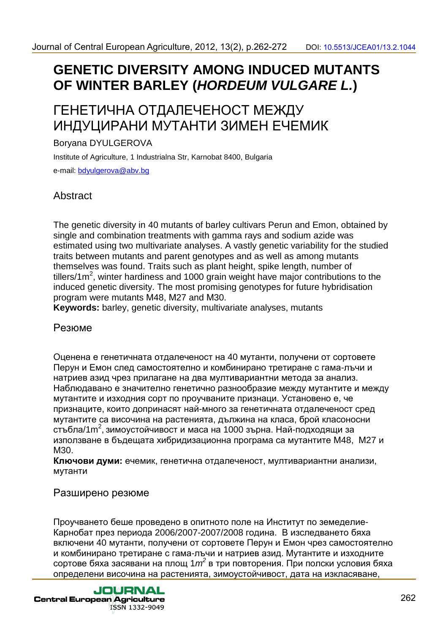# **GENETIC DIVERSITY AMONG INDUCED MUTANTS OF WINTER BARLEY (HORDEUM VULGARE L.)**

## ГЕНЕТИЧНА ОТДАЛЕЧЕНОСТ МЕЖДУ ИНДУЦИРАНИ МУТАНТИ ЗИМЕН ЕЧЕМИК

#### Boryana DYULGEROVA

Institute of Agriculture, 1 Industrialna Str, Karnobat 8400, Bulgaria e-mail: bdyulgerova@abv.bg

### Abstract

The genetic diversity in 40 mutants of barley cultivars Perun and Emon, obtained by single and combination treatments with gamma rays and sodium azide was estimated using two multivariate analyses. A vastly genetic variability for the studied traits between mutants and parent genotypes and as well as among mutants themselves was found. Traits such as plant height, spike length, number of tillers/1 $m^2$ , winter hardiness and 1000 grain weight have major contributions to the induced genetic diversity. The most promising genotypes for future hybridisation program were mutants М48, М27 and М30.

**Keywords:** barley, genetic diversity, multivariate analyses, mutants

#### Резюме

Оценена е генетичната отдалеченост на 40 мутанти, получени от сортовете Перун и Емон след самостоятелно и комбинирано третиране с гама-лъчи и натриев азид чрез прилагане на два мултивариантни метода за анализ. Наблюдавано е значително генетично разнообразие между мутантите и между мутантите и изходния сорт по проучваните признаци. Установено е, че признаците, които допринасят най-много за генетичната отдалеченост сред мутантите са височина на растенията, дължина на класа, брой класоносни стъбла/1m<sup>2</sup>, зимоустойчивост и маса на 1000 зърна. Най-подходящи за използване в бъдещата хибридизационна програма са мутантите М48, М27 и М30.

**Ключови думи:** ечемик, генетична отдалеченост, мултивариантни анализи, мутанти

#### Разширено резюме

Проучването беше проведено в опитното поле на Институт по земеделие-Карнобат през периода 2006/2007-2007/2008 година. В изследването бяха включени 40 мутанти, получени от сортовете Перун и Емон чрез самостоятелно и комбинирано третиране с гама-лъчи и натриев азид. Мутантите и изходните сортове бяха засявани на площ 1 $m^2$  в три повторения. При полски условия бяха определени височина на растенията, зимоустойчивост, дата на изкласяване,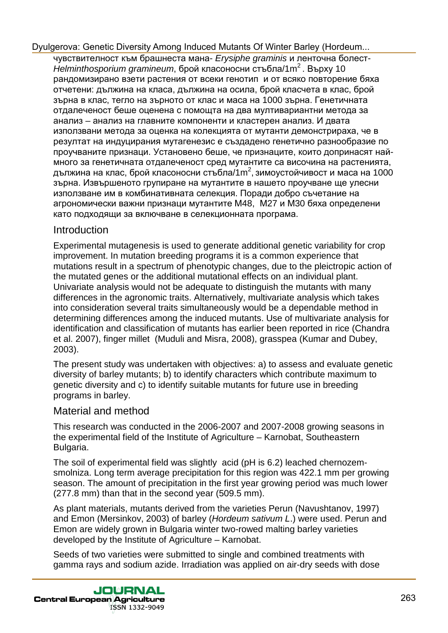чувствителност към брашнеста мана- Erysiphe graminis и ленточна болест-Helminthosporium gramineum, брой класоносни стъбла/1m<sup>2</sup>. Върху 10 рандомизирано взети растения от всеки генотип и от всяко повторение бяха отчетени: дължина на класа, дължина на осила, брой класчета в клас, брой зърна в клас, тегло на зърното от клас и маса на 1000 зърна. Генетичната отдалеченост беше оценена с помощта на два мултивариантни метода за анализ – анализ на главните компоненти и кластерен анализ. И двата използвани метода за оценка на колекцията от мутанти демонстрираха, че в резултат на индуцирания мутагенезис е създадено генетично разнообразие по проучваните признаци. Установено беше, че признаците, които допринасят наймного за генетичната отдалеченост сред мутантите са височина на растенията, дължина на клас, брой класоносни стъбла/1m<sup>2</sup>, зимоустойчивост и маса на 1000 зърна. Извършеното групиране на мутантите в нашето проучване ще улесни използване им в комбинативната селекция. Поради добро съчетание на агрономически важни признаци мутантите М48, М27 и М30 бяха определени като подходящи за включване в селекционната програма.

#### Introduction

Experimental mutagenesis is used to generate additional genetic variability for crop improvement. In mutation breeding programs it is a common experience that mutations result in a spectrum of phenotypic changes, due to the pleictropic action of the mutated genes or the additional mutational effects on an individual plant. Univariate analysis would not be adequate to distinguish the mutants with many differences in the agronomic traits. Alternatively, multivariate analysis which takes into consideration several traits simultaneously would be a dependable method in determining differences among the induced mutants. Use of multivariate analysis for identification and classification of mutants has earlier been reported in rice (Chandra et al. 2007), finger millet (Muduli and Misra, 2008), grasspea (Kumar and Dubey, 2003).

The present study was undertaken with objectives: a) to assess and evaluate genetic diversity of barley mutants; b) to identify characters which contribute maximum to genetic diversity and c) to identify suitable mutants for future use in breeding programs in barley.

#### Material and method

This research was conducted in the 2006-2007 and 2007-2008 growing seasons in the experimental field of the Institute of Agriculture – Karnobat, Southeastern Bulgaria.

The soil of experimental field was slightly acid (pH is 6.2) leached chernozemsmolniza. Long term average precipitation for this region was 422.1 mm per growing season. The amount of precipitation in the first year growing period was much lower (277.8 mm) than that in the second year (509.5 mm).

As plant materials, mutants derived from the varieties Perun (Navushtanov, 1997) and Emon (Mersinkov, 2003) of barley (Hordeum sativum L.) were used. Perun and Emon are widely grown in Bulgaria winter two-rowed malting barley varieties developed by the Institute of Agriculture – Karnobat.

Seeds of two varieties were submitted to single and combined treatments with gamma rays and sodium azide. Irradiation was applied on air-dry seeds with dose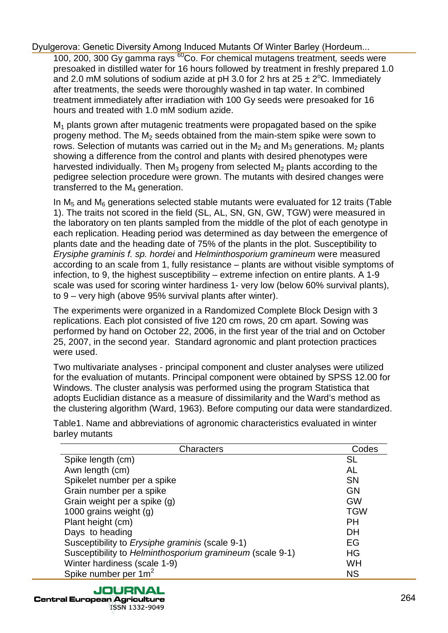100, 200, 300 Gy gamma rays <sup>60</sup>Co. For chemical mutagens treatment, seeds were presoaked in distilled water for 16 hours followed by treatment in freshly prepared 1.0 and 2.0 mM solutions of sodium azide at pH 3.0 for 2 hrs at  $25 \pm 2^{\circ}$ C. Immediately after treatments, the seeds were thoroughly washed in tap water. In combined treatment immediately after irradiation with 100 Gy seeds were presoaked for 16 hours and treated with 1.0 mM sodium azide.

 $M_1$  plants grown after mutagenic treatments were propagated based on the spike progeny method. The  $M<sub>2</sub>$  seeds obtained from the main-stem spike were sown to rows. Selection of mutants was carried out in the  $M_2$  and  $M_3$  generations.  $M_2$  plants showing a difference from the control and plants with desired phenotypes were harvested individually. Then  $M_3$  progeny from selected  $M_2$  plants according to the pedigree selection procedure were grown. The mutants with desired changes were transferred to the M4 generation.

In M5 and M6 generations selected stable mutants were evaluated for 12 traits (Table 1). The traits not scored in the field (SL, AL, SN, GN, GW, TGW) were measured in the laboratory on ten plants sampled from the middle of the plot of each genotype in each replication. Heading period was determined as day between the emergence of plants date and the heading date of 75% of the plants in the plot. Susceptibility to Erysiphe graminis f. sp. hordei and Helminthosporium gramineum were measured according to an scale from 1, fully resistance – plants are without visible symptoms of infection, to 9, the highest susceptibility – extreme infection on entire plants. A 1-9 scale was used for scoring winter hardiness 1- very low (below 60% survival plants), to 9 – very high (above 95% survival plants after winter).

The experiments were organized in a Randomized Complete Block Design with 3 replications. Each plot consisted of five 120 сm rows, 20 сm apart. Sowing was performed by hand on October 22, 2006, in the first year of the trial and on October 25, 2007, in the second year. Standard agronomic and plant protection practices were used.

Two multivariate analyses - principal component and cluster analyses were utilized for the evaluation of mutants. Principal component were obtained by SPSS 12.00 for Windows. The cluster analysis was performed using the program Statistica that adopts Euclidian distance as a measure of dissimilarity and the Ward's method as the clustering algorithm (Ward, 1963). Before computing our data were standardized.

Table1. Name and abbreviations of agronomic characteristics evaluated in winter barley mutants

| Characters                                               | Codes      |
|----------------------------------------------------------|------------|
| Spike length (cm)                                        | <b>SL</b>  |
| Awn length (cm)                                          | AL         |
| Spikelet number per a spike                              | <b>SN</b>  |
| Grain number per a spike                                 | GN         |
| Grain weight per a spike (g)                             | <b>GW</b>  |
| 1000 grains weight (g)                                   | <b>TGW</b> |
| Plant height (cm)                                        | <b>PH</b>  |
| Days to heading                                          | DH         |
| Susceptibility to <i>Erysiphe graminis</i> (scale 9-1)   | EG         |
| Susceptibility to Helminthosporium gramineum (scale 9-1) | HG         |
| Winter hardiness (scale 1-9)                             | WH         |
| Spike number per $1m^2$                                  | <b>NS</b>  |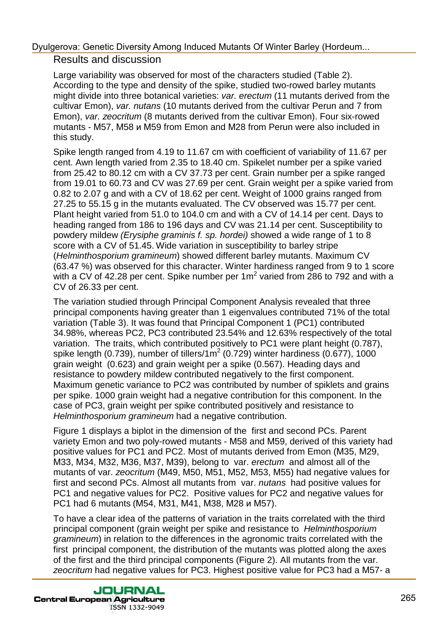#### Results and discussion

Large variability was observed for most of the characters studied (Table 2). According to the type and density of the spike, studied two-rowed barley mutants might divide into three botanical varieties: var. erectum (11 mutants derived from the cultivar Emon), var. nutans (10 mutants derived from the cultivar Perun and 7 from Emon), var. zeocritum (8 mutants derived from the cultivar Emon). Four six-rowed mutants - М57, М58 и М59 from Emon and М28 from Perun were also included in this study.

Spike length ranged from 4.19 to 11.67 cm with coefficient of variability of 11.67 per cent. Awn length varied from 2.35 to 18.40 cm. Spikelet number per a spike varied from 25.42 to 80.12 cm with a CV 37.73 per cent. Grain number per a spike ranged from 19.01 to 60.73 and CV was 27.69 per cent. Grain weight per a spike varied from 0.82 to 2.07 g and with a CV of 18.62 per cent. Weight of 1000 grains ranged from 27.25 to 55.15 g in the mutants evaluated. The CV observed was 15.77 per cent. Plant height varied from 51.0 to 104.0 cm and with a CV of 14.14 per cent. Days to heading ranged from 186 to 196 days and CV was 21.14 per cent. Susceptibility to powdery mildew (Erysiphe graminis f. sp. hordei) showed a wide range of 1 to 8 score with a CV of 51.45. Wide variation in susceptibility to barley stripe (Helminthosporium gramineum) showed different barley mutants. Maximum CV (63.47 %) was observed for this character. Winter hardiness ranged from 9 to 1 score with a CV of 42.28 per cent. Spike number per  $1m^2$  varied from 286 to 792 and with a CV of 26.33 per cent.

The variation studied through Principal Component Analysis revealed that three principal components having greater than 1 eigenvalues contributed 71% of the total variation (Table 3). It was found that Principal Component 1 (PC1) contributed 34.98%, whereas PC2, PC3 contributed 23.54% and 12.63% respectively of the total variation. The traits, which contributed positively to PC1 were plant height (0.787), spike length (0.739), number of tillers/1m<sup>2</sup> (0.729) winter hardiness (0.677), 1000 grain weight (0.623) and grain weight per a spike (0.567). Heading days and resistance to powdery mildew contributed negatively to the first component. Maximum genetic variance to PC2 was contributed by number of spiklets and grains per spike. 1000 grain weight had a negative contribution for this component. In the case of PC3, grain weight per spike contributed positively and resistance to Helminthosporium gramineum had a negative contribution.

Figure 1 displays a biplot in the dimension of the first and second PCs. Parent variety Emon and two poly-rowed mutants - М58 and М59, derived of this variety had positive values for PC1 and PC2. Most of mutants derived from Emon (М35, М29, М33, М34, М32, М36, М37, М39), belong to var. erectum and almost all of the mutants of var. zeocritum (М49, М50, М51, М52, М53, М55) had negative values for first and second PCs. Almost all mutants from var. nutans had positive values for PC1 and negative values for PC2. Positive values for PC2 and negative values for PC1 had 6 mutants (М54, М31, М41, М38, М28 и М57).

To have a clear idea of the patterns of variation in the traits correlated with the third principal component (grain weight per spike and resistance to Helminthosporium gramineum) in relation to the differences in the agronomic traits correlated with the first principal component, the distribution of the mutants was plotted along the axes of the first and the third principal components (Figure 2). All mutants from the var. zeocritum had negative values for PC3. Highest positive value for PC3 had a М57- a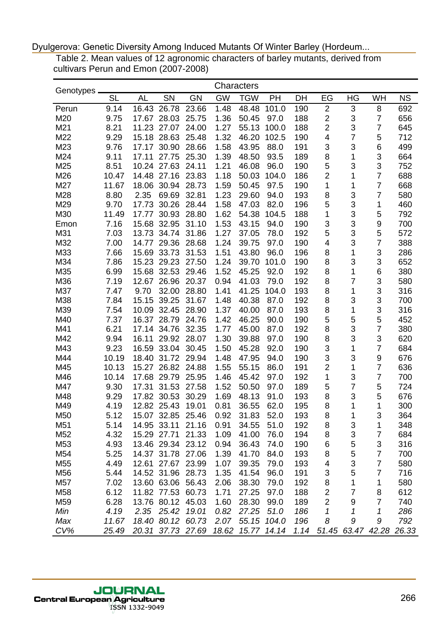Table 2. Mean values of 12 agronomic characters of barley mutants, derived from cultivars Perun and Emon (2007-2008)

| Genotypes       |           |           |                   |           |           | Characters  |             |      |                         |                |                         |           |
|-----------------|-----------|-----------|-------------------|-----------|-----------|-------------|-------------|------|-------------------------|----------------|-------------------------|-----------|
|                 | <b>SL</b> | <b>AL</b> | SN                | <b>GN</b> | <b>GW</b> | <b>TGW</b>  | PH          | DH   | EG                      | HG             | WH                      | <b>NS</b> |
| Perun           | 9.14      | 16.43     | 26.78             | 23.66     | 1.48      | 48.48       | 101.0       | 190  | $\overline{2}$          | 3              | 8                       | 692       |
| M20             | 9.75      | 17.67     | 28.03             | 25.75     | 1.36      | 50.45       | 97.0        | 188  | $\overline{c}$          | 3              | $\overline{7}$          | 656       |
| M21             | 8.21      | 11.23     | 27.07             | 24.00     | 1.27      | 55.13       | 100.0       | 188  | $\overline{\mathbf{c}}$ | 3              | $\overline{7}$          | 645       |
| M22             | 9.29      | 15.18     | 28.63             | 25.48     | 1.32      | 46.20       | 102.5       | 190  | $\overline{\mathbf{4}}$ | $\overline{7}$ | 5                       | 712       |
| M23             | 9.76      | 17.17     | 30.90             | 28.66     | 1.58      | 43.95       | 88.0        | 191  | 3                       | 3              | 6                       | 499       |
| M24             | 9.11      | 17.11     | 27.75             | 25.30     | 1.39      | 48.50       | 93.5        | 189  | 8                       | 1              | 3                       | 664       |
| M25             | 8.51      | 10.24     | 27.63             | 24.11     | 1.21      | 46.08       | 96.0        | 190  | 5                       | 3              | 3                       | 752       |
| M26             | 10.47     | 14.48     | 27.16             | 23.83     | 1.18      | 50.03       | 104.0       | 186  | 2                       | 1              | $\overline{7}$          | 688       |
| M27             | 11.67     | 18.06     | 30.94             | 28.73     | 1.59      | 50.45       | 97.5        | 190  | 1                       | 1              | $\overline{7}$          | 668       |
| M28             | 8.80      | 2.35      | 69.69             | 32.81     | 1.23      | 29.60       | 94.0        | 193  | 8                       | 3              | 7                       | 580       |
| M29             | 9.70      | 17.73     | 30.26             | 28.44     | 1.58      | 47.03       | 82.0        | 196  | 5                       | 3              | 1                       | 460       |
| M30             | 11.49     | 17.77     | 30.93             | 28.80     | 1.62      | 54.38       | 104.5       | 188  | 1                       | 3              | 5                       | 792       |
| Emon            | 7.16      | 15.68     | 32.95             | 31.10     | 1.53      | 43.15       | 94.0        | 190  | 3                       | 3              | 9                       | 700       |
| M31             | 7.03      | 13.73     | 34.74             | 31.86     | 1.27      | 37.05       | 78.0        | 192  | 5                       | 3              | 5                       | 572       |
| M32             | 7.00      | 14.77     | 29.36             | 28.68     | 1.24      | 39.75       | 97.0        | 190  | 4                       | 3              | $\overline{7}$          | 388       |
| M33             | 7.66      | 15.69     | 33.73             | 31.53     | 1.51      | 43.80       | 96.0        | 196  | 8                       | 1              | 3                       | 286       |
| M34             | 7.86      | 15.23     | 29.23             | 27.50     | 1.24      | 39.70       | 101.0       | 190  | 8                       | 3              | 3                       | 652       |
| M35             | 6.99      | 15.68     | 32.53             | 29.46     | 1.52      | 45.25       | 92.0        | 192  | 8                       | 1              | 6                       | 380       |
| M36             | 7.19      | 12.67     | 26.96             | 20.37     | 0.94      | 41.03       | 79.0        | 192  | 8                       | $\overline{7}$ | 3                       | 580       |
| M37             | 7.47      | 9.70      | 32.00             | 28.80     | 1.41      | 41.25       | 104.0       | 193  | 8                       | 1              | 3                       | 316       |
| M38             | 7.84      | 15.15     | 39.25             | 31.67     | 1.48      | 40.38       | 87.0        | 192  | 8                       | 3              | 3                       | 700       |
| M39             | 7.54      | 10.09     | 32.45             | 28.90     | 1.37      | 40.00       | 87.0        | 193  | 8                       | 1              | 3                       | 316       |
| M40             | 7.37      | 16.37     | 28.79             | 24.76     | 1.42      | 46.25       | 90.0        | 190  | 5                       | 5              | 5                       | 452       |
| M41             | 6.21      | 17.14     | 34.76             | 32.35     | 1.77      | 45.00       | 87.0        | 192  | 8                       | 3              | $\overline{7}$          | 380       |
| M42             | 9.94      | 16.11     | 29.92             | 28.07     | 1.30      | 39.88       | 97.0        | 190  | 8                       | 3              | 3                       | 620       |
| M43             | 9.23      | 16.59     | 33.04             | 30.45     | 1.50      | 45.28       | 92.0        | 190  | 3                       | 1              | $\overline{7}$          | 684       |
| M44             | 10.19     | 18.40     | 31.72             | 29.94     | 1.48      | 47.95       | 94.0        | 190  | 3                       | 3              | 9                       | 676       |
| M45             | 10.13     | 15.27     | 26.82             | 24.88     | 1.55      | 55.15       | 86.0        | 191  | $\overline{2}$          | 1              | $\overline{7}$          | 636       |
| M46             | 10.14     | 17.68     | 29.79             | 25.95     | 1.46      | 45.42       | 97.0        | 192  | 1                       | 3              | 7                       | 700       |
| M47             | 9.30      | 17.31     | 31.53             | 27.58     | 1.52      | 50.50       | 97.0        | 189  | 5                       | $\overline{7}$ | 5                       | 724       |
| M48             | 9.29      | 17.82     | 30.53             | 30.29     | 1.69      | 48.13       | 91.0        | 193  | 8                       | 3              | 5                       | 676       |
| M49             | 4.19      |           | 12.82 25.43       | 19.01     | 0.81      | 36.55       | 62.0        | 195  | 8                       | 1              | 1                       | 300       |
| M50             | 5.12      |           | 15.07 32.85 25.46 |           | 0.92      | 31.83       | 52.0        | 193  | 8                       | 1              | 3                       | 364       |
| M <sub>51</sub> | 5.14      |           | 14.95 33.11       | 21.16     | 0.91      | 34.55       | 51.0        | 192  | 8                       | 3              | 1                       | 348       |
| M <sub>52</sub> | 4.32      |           | 15.29 27.71       | 21.33     | 1.09      | 41.00       | 76.0        | 194  | 8                       | 3              | 7                       | 684       |
| M53             | 4.93      |           | 13.46 29.34       | 23.12     | 0.94      | 36.43       | 74.0        | 190  | 6                       | 5              | 3                       | 316       |
| M54             | 5.25      | 14.37     | 31.78             | 27.06     | 1.39      | 41.70       | 84.0        | 193  | 8                       | 5              | 7                       | 700       |
| M <sub>55</sub> | 4.49      |           | 12.61 27.67       | 23.99     | 1.07      | 39.35       | 79.0        | 193  | 4                       | 3              | $\overline{7}$          | 580       |
| M56             | 5.44      |           | 14.52 31.96 28.73 |           | 1.35      | 41.54       | 96.0        | 191  | 3                       | 5              | 7                       | 716       |
| M57             | 7.02      |           | 13.60 63.06 56.43 |           | 2.06      | 38.30       | 79.0        | 192  | 8                       | 1              | 1                       | 580       |
| M58             | 6.12      |           | 11.82 77.53 60.73 |           | 1.71      | 27.25       | 97.0        | 188  | $\overline{\mathbf{c}}$ | $\overline{7}$ | 8                       | 612       |
| M59             | 6.28      |           | 13.76 80.12 45.03 |           | 1.60      | 28.30       | 99.0        | 189  | $\overline{2}$          | 9              | $\overline{7}$          | 740       |
| Min             | 4.19      |           | 2.35 25.42        | 19.01     | 0.82      | 27.25       | 51.0        | 186  | 1                       | 1              | 1                       | 286       |
| Max             | 11.67     |           | 18.40 80.12       | 60.73     | 2.07      | 55.15 104.0 |             | 196  | 8                       | 9              | 9                       | 792       |
| CV%             | 25.49     |           | 20.31 37.73 27.69 |           | 18.62     |             | 15.77 14.14 | 1.14 |                         |                | 51.45 63.47 42.28 26.33 |           |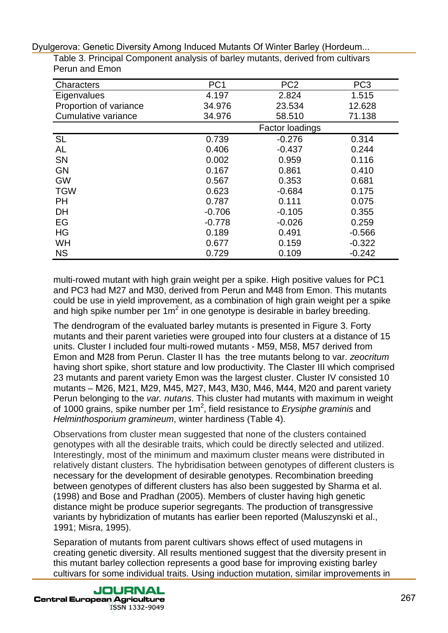| <b>Characters</b>      | PC <sub>1</sub> | PC <sub>2</sub> | PC <sub>3</sub> |
|------------------------|-----------------|-----------------|-----------------|
| Eigenvalues            | 4.197           | 2.824           | 1.515           |
| Proportion of variance | 34.976          | 23.534          | 12.628          |
| Cumulative variance    | 34.976          | 58.510          | 71.138          |
|                        |                 | Factor loadings |                 |
| <b>SL</b>              | 0.739           | $-0.276$        | 0.314           |
| AL                     | 0.406           | $-0.437$        | 0.244           |
| <b>SN</b>              | 0.002           | 0.959           | 0.116           |
| <b>GN</b>              | 0.167           | 0.861           | 0.410           |
| <b>GW</b>              | 0.567           | 0.353           | 0.681           |
| <b>TGW</b>             | 0.623           | $-0.684$        | 0.175           |
| <b>PH</b>              | 0.787           | 0.111           | 0.075           |
| <b>DH</b>              | $-0.706$        | $-0.105$        | 0.355           |
| EG                     | $-0.778$        | $-0.026$        | 0.259           |
| HG                     | 0.189           | 0.491           | $-0.566$        |
| <b>WH</b>              | 0.677           | 0.159           | $-0.322$        |
| <b>NS</b>              | 0.729           | 0.109           | $-0.242$        |

Table 3. Principal Component analysis of barley mutants, derived from cultivars Perun and Emon

multi-rowed mutant with high grain weight per a spike. High positive values for PC1 and PC3 had М27 and М30, derived from Perun and М48 from Emon. This mutants could be use in yield improvement, as a combination of high grain weight per a spike and high spike number per  $1m^2$  in one genotype is desirable in barley breeding.

The dendrogram of the evaluated barley mutants is presented in Figure 3. Forty mutants and their parent varieties were grouped into four clusters at a distance of 15 units. Cluster I included four multi-rowed mutants - М59, М58, М57 derived from Emon and М28 from Perun. Claster II has the tree mutants belong to var. zeocritum having short spike, short stature and low productivity. The Claster III which comprised 23 mutants and parent variety Emon was the largest cluster. Cluster IV consisted 10 mutants – М26, М21, М29, М45, М27, М43, М30, М46, М44, М20 and parent variety Perun belonging to the var. nutans. This cluster had mutants with maximum in weight of 1000 grains, spike number per 1m<sup>2</sup>, field resistance to Erysiphe graminis and Helminthosporium gramineum, winter hardiness (Table 4).

Observations from cluster mean suggested that none of the clusters contained genotypes with all the desirable traits, which could be directly selected and utilized. Interestingly, most of the minimum and maximum cluster means were distributed in relatively distant clusters. The hybridisation between genotypes of different clusters is necessary for the development of desirable genotypes. Recombination breeding between genotypes of different clusters has also been suggested by Sharma et al. (1998) and Bose and Pradhan (2005). Members of cluster having high genetic distance might be produce superior segregants. The production of transgressive variants by hybridization of mutants has earlier been reported (Maluszynski et al., 1991; Misra, 1995).

Separation of mutants from parent cultivars shows effect of used mutagens in creating genetic diversity. All results mentioned suggest that the diversity present in this mutant barley collection represents a good base for improving existing barley cultivars for some individual traits. Using induction mutation, similar improvements in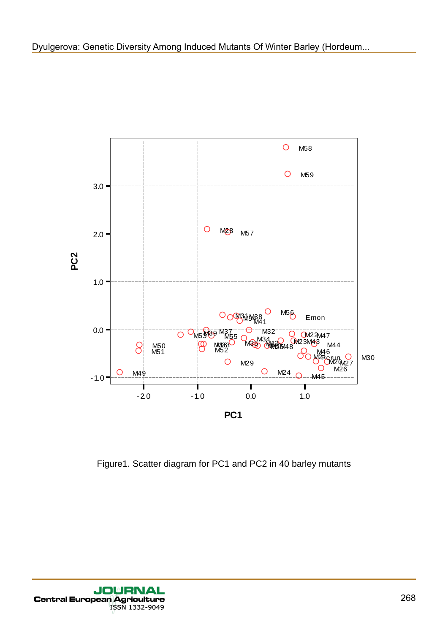

Figure1. Scatter diagram for PC1 and PC2 in 40 barley mutants

**JOURNA** Central European Agriculture ISSN 1332-9049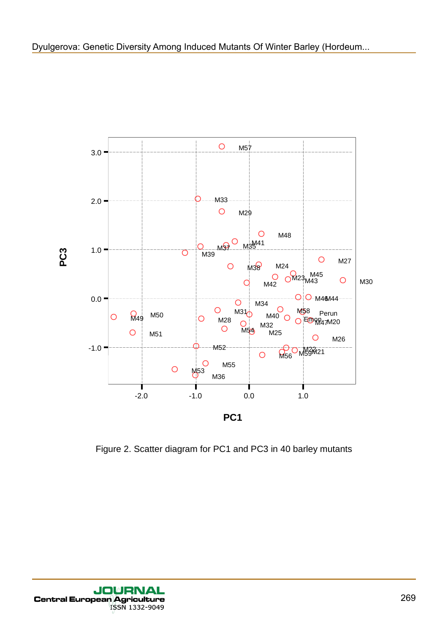

Figure 2. Scatter diagram for PC1 and PC3 in 40 barley mutants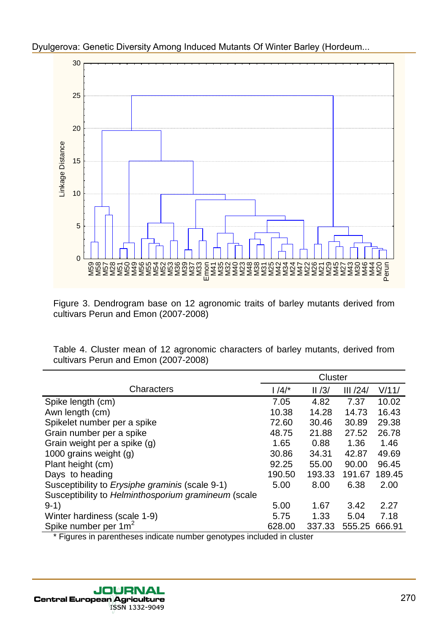

Figure 3. Dendrogram base on 12 agronomic traits of barley mutants derived from cultivars Perun and Emon (2007-2008)

Table 4. Cluster mean of 12 agronomic characters of barley mutants, derived from cultivars Perun and Emon (2007-2008)

|                                                     | <b>Cluster</b> |        |         |        |
|-----------------------------------------------------|----------------|--------|---------|--------|
| Characters                                          | $1/4/*$        | II/3/  | III/24/ | V/11/  |
| Spike length (cm)                                   | 7.05           | 4.82   | 7.37    | 10.02  |
| Awn length (cm)                                     | 10.38          | 14.28  | 14.73   | 16.43  |
| Spikelet number per a spike                         | 72.60          | 30.46  | 30.89   | 29.38  |
| Grain number per a spike                            | 48.75          | 21.88  | 27.52   | 26.78  |
| Grain weight per a spike (g)                        | 1.65           | 0.88   | 1.36    | 1.46   |
| 1000 grains weight (g)                              | 30.86          | 34.31  | 42.87   | 49.69  |
| Plant height (cm)                                   | 92.25          | 55.00  | 90.00   | 96.45  |
| Days to heading                                     | 190.50         | 193.33 | 191.67  | 189.45 |
| Susceptibility to Erysiphe graminis (scale 9-1)     | 5.00           | 8.00   | 6.38    | 2.00   |
| Susceptibility to Helminthosporium gramineum (scale |                |        |         |        |
| $9-1)$                                              | 5.00           | 1.67   | 3.42    | 2.27   |
| Winter hardiness (scale 1-9)                        | 5.75           | 1.33   | 5.04    | 7.18   |
| Spike number per 1m <sup>2</sup>                    | 628.00         | 337.33 | 555.25  | 666.91 |

\* Figures in parentheses indicate number genotypes included in cluster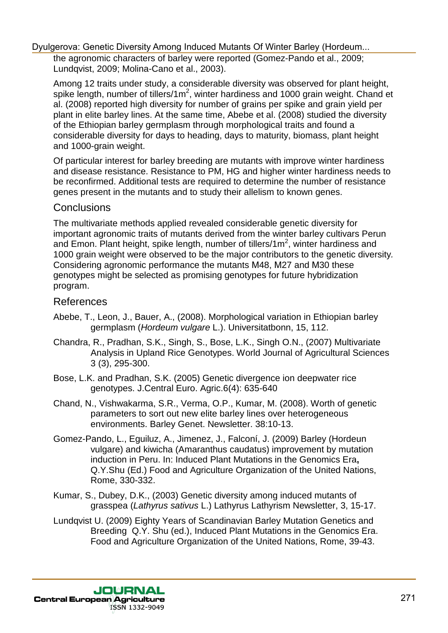the agronomic characters of barley were reported (Gomez-Pando et al., 2009; Lundqvist, 2009; Molina-Cano et al., 2003).

Among 12 traits under study, a considerable diversity was observed for plant height, spike length, number of tillers/1m<sup>2</sup>, winter hardiness and 1000 grain weight. Chand et al. (2008) reported high diversity for number of grains per spike and grain yield per plant in elite barley lines. At the same time, Abebe et al. (2008) studied the diversity of the Ethiopian barley germplasm through morphological traits and found a considerable diversity for days to heading, days to maturity, biomass, plant height and 1000-grain weight.

Of particular interest for barley breeding are mutants with improve winter hardiness and disease resistance. Resistance to PM, HG and higher winter hardiness needs to be reconfirmed. Additional tests are required to determine the number of resistance genes present in the mutants and to study their allelism to known genes.

#### **Conclusions**

The multivariate methods applied revealed considerable genetic diversity for important agronomic traits of mutants derived from the winter barley cultivars Perun and Emon. Plant height, spike length, number of tillers/1 $m<sup>2</sup>$ , winter hardiness and 1000 grain weight were observed to be the major contributors to the genetic diversity. Considering agronomic performance the mutants М48, М27 and М30 these genotypes might be selected as promising genotypes for future hybridization program.

#### References

- Abebe, T., Leon, J., Bauer, A., (2008). Morphological variation in Ethiopian barley germplasm (Hordeum vulgare L.). Universitatbonn, 15, 112.
- Chandra, R., Pradhan, S.K., Singh, S., Bose, L.K., Singh O.N., (2007) Multivariate Analysis in Upland Rice Genotypes. World Journal of Agricultural Sciences 3 (3), 295-300.
- Bose, L.K. and Pradhan, S.K. (2005) Genetic divergence ion deepwater rice genotypes. J.Central Euro. Agric.6(4): 635-640
- Chand, N., Vishwakarma, S.R., Verma, O.P., Kumar, M. (2008). Worth of genetic parameters to sort out new elite barley lines over heterogeneous environments. Barley Genet. Newsletter. 38:10-13.
- Gomez-Pando, L., Eguiluz, A., Jimenez, J., Falconí, J. (2009) Barley (Hordeun vulgare) and kiwicha (Amaranthus caudatus) improvement by mutation induction in Peru. In: Induced Plant Mutations in the Genomics Era**,** Q.Y.Shu (Ed.) Food and Agriculture Organization of the United Nations, Rome, 330-332.
- Kumar, S., Dubey, D.K., (2003) Genetic diversity among induced mutants of grasspea (Lathyrus sativus L.) Lathyrus Lathyrism Newsletter, 3, 15-17.
- Lundqvist U. (2009) Eighty Years of Scandinavian Barley Mutation Genetics and Breeding Q.Y. Shu (ed.), Induced Plant Mutations in the Genomics Era. Food and Agriculture Organization of the United Nations, Rome, 39-43.